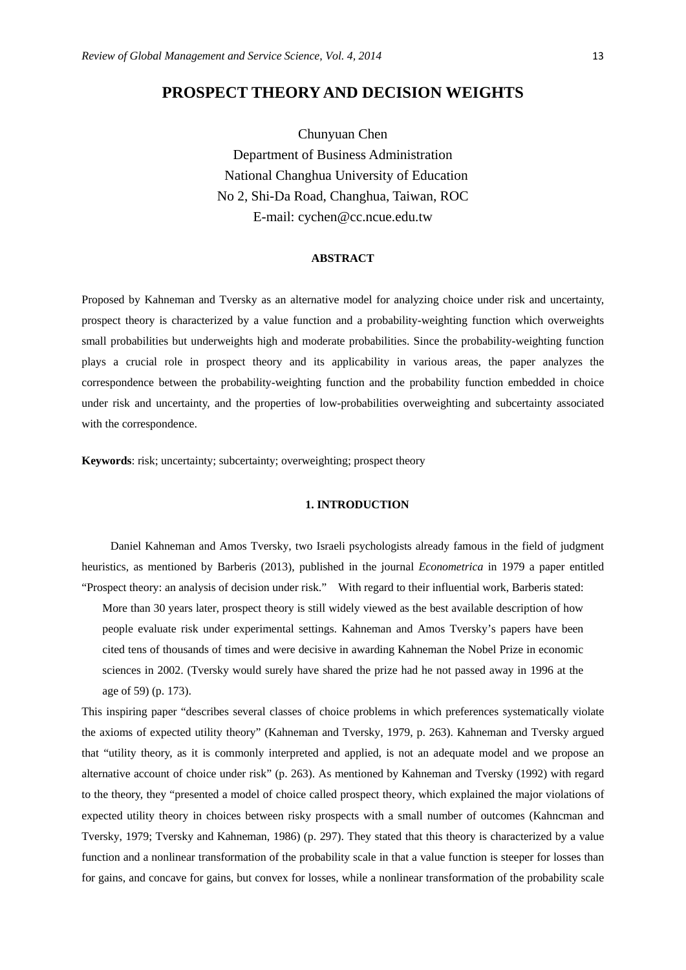# **PROSPECT THEORY AND DECISION WEIGHTS**

Chunyuan Chen Department of Business Administration National Changhua University of Education No 2, Shi-Da Road, Changhua, Taiwan, ROC E-mail: cychen@cc.ncue.edu.tw

### **ABSTRACT**

Proposed by Kahneman and Tversky as an alternative model for analyzing choice under risk and uncertainty, prospect theory is characterized by a value function and a probability-weighting function which overweights small probabilities but underweights high and moderate probabilities. Since the probability-weighting function plays a crucial role in prospect theory and its applicability in various areas, the paper analyzes the correspondence between the probability-weighting function and the probability function embedded in choice under risk and uncertainty, and the properties of low-probabilities overweighting and subcertainty associated with the correspondence.

**Keywords**: risk; uncertainty; subcertainty; overweighting; prospect theory

# **1. INTRODUCTION**

Daniel Kahneman and Amos Tversky, two Israeli psychologists already famous in the field of judgment heuristics, as mentioned by Barberis (2013), published in the journal *Econometrica* in 1979 a paper entitled "Prospect theory: an analysis of decision under risk." With regard to their influential work, Barberis stated: More than 30 years later, prospect theory is still widely viewed as the best available description of how people evaluate risk under experimental settings. Kahneman and Amos Tversky's papers have been cited tens of thousands of times and were decisive in awarding Kahneman the Nobel Prize in economic sciences in 2002. (Tversky would surely have shared the prize had he not passed away in 1996 at the age of 59) (p. 173).

This inspiring paper "describes several classes of choice problems in which preferences systematically violate the axioms of expected utility theory" (Kahneman and Tversky, 1979, p. 263). Kahneman and Tversky argued that "utility theory, as it is commonly interpreted and applied, is not an adequate model and we propose an alternative account of choice under risk" (p. 263). As mentioned by Kahneman and Tversky (1992) with regard to the theory, they "presented a model of choice called prospect theory, which explained the major violations of expected utility theory in choices between risky prospects with a small number of outcomes (Kahncman and Tversky, 1979; Tversky and Kahneman, 1986) (p. 297). They stated that this theory is characterized by a value function and a nonlinear transformation of the probability scale in that a value function is steeper for losses than for gains, and concave for gains, but convex for losses, while a nonlinear transformation of the probability scale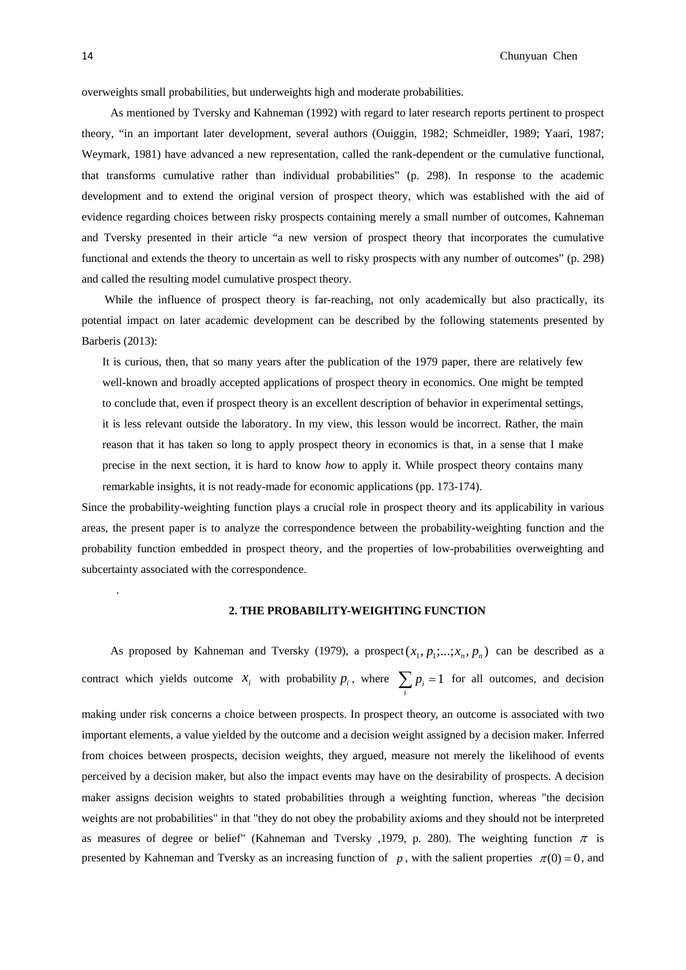14 Chunyuan Chen

overweights small probabilities, but underweights high and moderate probabilities.

As mentioned by Tversky and Kahneman (1992) with regard to later research reports pertinent to prospect theory, "in an important later development, several authors (Ouiggin, 1982; Schmeidler, 1989; Yaari, 1987; Weymark, 1981) have advanced a new representation, called the rank-dependent or the cumulative functional, that transforms cumulative rather than individual probabilities" (p. 298). In response to the academic development and to extend the original version of prospect theory, which was established with the aid of evidence regarding choices between risky prospects containing merely a small number of outcomes, Kahneman and Tversky presented in their article "a new version of prospect theory that incorporates the cumulative functional and extends the theory to uncertain as well to risky prospects with any number of outcomes" (p. 298) and called the resulting model cumulative prospect theory.

 While the influence of prospect theory is far-reaching, not only academically but also practically, its potential impact on later academic development can be described by the following statements presented by Barberis (2013):

It is curious, then, that so many years after the publication of the 1979 paper, there are relatively few well-known and broadly accepted applications of prospect theory in economics. One might be tempted to conclude that, even if prospect theory is an excellent description of behavior in experimental settings, it is less relevant outside the laboratory. In my view, this lesson would be incorrect. Rather, the main reason that it has taken so long to apply prospect theory in economics is that, in a sense that I make precise in the next section, it is hard to know *how* to apply it. While prospect theory contains many remarkable insights, it is not ready-made for economic applications (pp. 173-174).

Since the probability-weighting function plays a crucial role in prospect theory and its applicability in various areas, the present paper is to analyze the correspondence between the probability-weighting function and the probability function embedded in prospect theory, and the properties of low-probabilities overweighting and subcertainty associated with the correspondence.

### **2. THE PROBABILITY-WEIGHTING FUNCTION**

As proposed by Kahneman and Tversky (1979), a prospect $(x_1, p_1;...;x_n, p_n)$  can be described as a contract which yields outcome  $x_i$  with probability  $p_i$ , where  $\sum_i p_i = 1$  for all outcomes, and decision making under risk concerns a choice between prospects. In prospect theory, an outcome is associated with two important elements, a value yielded by the outcome and a decision weight assigned by a decision maker. Inferred from choices between prospects, decision weights, they argued, measure not merely the likelihood of events perceived by a decision maker, but also the impact events may have on the desirability of prospects. A decision maker assigns decision weights to stated probabilities through a weighting function, whereas "the decision weights are not probabilities" in that "they do not obey the probability axioms and they should not be interpreted as measures of degree or belief" (Kahneman and Tversky ,1979, p. 280). The weighting function  $\pi$  is presented by Kahneman and Tversky as an increasing function of *p*, with the salient properties  $\pi(0) = 0$ , and

.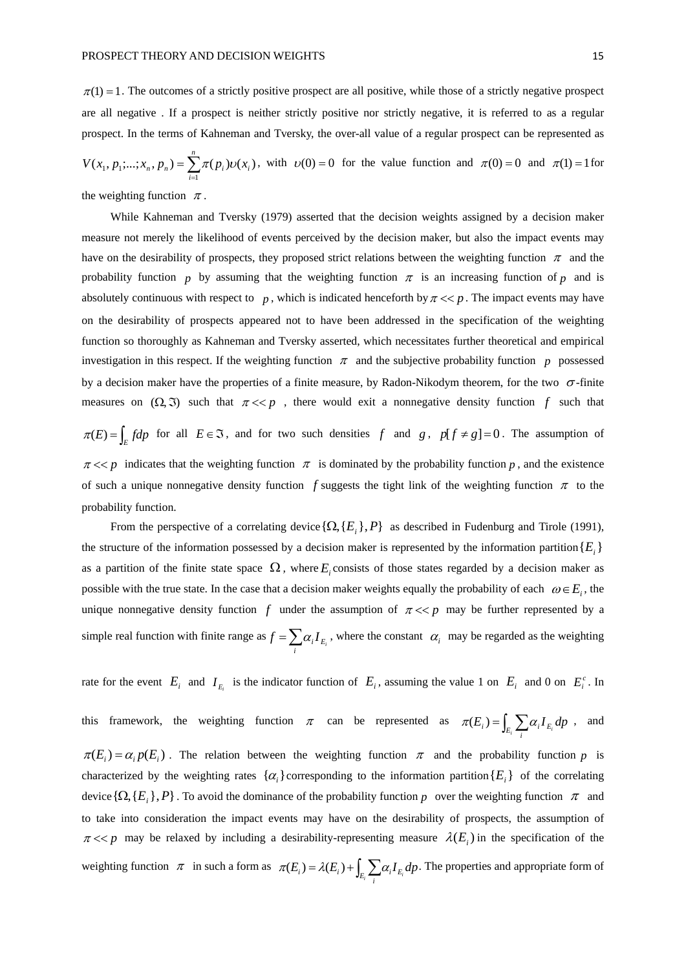$$
V(x_1, p_1; \dots; x_n, p_n) = \sum_{i=1}^n \pi(p_i) \upsilon(x_i),
$$
 with  $\upsilon(0) = 0$  for the value function and  $\pi(0) = 0$  and  $\pi(1) = 1$  for

the weighting function  $\pi$ .

While Kahneman and Tversky (1979) asserted that the decision weights assigned by a decision maker measure not merely the likelihood of events perceived by the decision maker, but also the impact events may have on the desirability of prospects, they proposed strict relations between the weighting function  $\pi$  and the probability function *p* by assuming that the weighting function  $\pi$  is an increasing function of *p* and is absolutely continuous with respect to  $p$ , which is indicated henceforth by  $\pi \ll p$ . The impact events may have on the desirability of prospects appeared not to have been addressed in the specification of the weighting function so thoroughly as Kahneman and Tversky asserted, which necessitates further theoretical and empirical investigation in this respect. If the weighting function  $\pi$  and the subjective probability function  $p$  possessed by a decision maker have the properties of a finite measure, by Radon-Nikodym theorem, for the two  $\sigma$ -finite measures on  $(\Omega, \mathfrak{I})$  such that  $\pi \ll p$ , there would exit a nonnegative density function f such that  $\pi(E) = \int_E f dp$  for all  $E \in \mathcal{F}$ , and for two such densities *f* and *g*,  $p[f \neq g] = 0$ . The assumption of  $\pi \ll p$  indicates that the weighting function  $\pi$  is dominated by the probability function p, and the existence of such a unique nonnegative density function *f* suggests the tight link of the weighting function  $\pi$  to the probability function.

From the perspective of a correlating device  $\{\Omega, \{E_i\}, P\}$  as described in Fudenburg and Tirole (1991), the structure of the information possessed by a decision maker is represented by the information partition  ${E_i}$ as a partition of the finite state space  $\Omega$ , where  $E_i$  consists of those states regarded by a decision maker as possible with the true state. In the case that a decision maker weights equally the probability of each  $\omega \in E_i$ , the unique nonnegative density function  $f$  under the assumption of  $\pi \ll p$  may be further represented by a simple real function with finite range as  $f = \sum_i \alpha_i I_{E_i}$ , where the constant  $\alpha_i$  may be regarded as the weighting

rate for the event  $E_i$  and  $I_{E_i}$  is the indicator function of  $E_i$ , assuming the value 1 on  $E_i$  and 0 on  $E_i^c$ . In

this framework, the weighting function  $\pi$  can be represented as  $\pi(E_i) = \int_{E_i} \sum_i \alpha_i I_{E_i} dp$ , and  $\pi(E_i) = \alpha_i p(E_i)$ . The relation between the weighting function  $\pi$  and the probability function *p* is characterized by the weighting rates  $\{\alpha_i\}$  corresponding to the information partition  $\{E_i\}$  of the correlating device  $\{\Omega, \{E_i\}, P\}$ . To avoid the dominance of the probability function *p* over the weighting function  $\pi$  and to take into consideration the impact events may have on the desirability of prospects, the assumption of  $\pi \ll p$  may be relaxed by including a desirability-representing measure  $\lambda(E_i)$  in the specification of the weighting function  $\pi$  in such a form as  $\pi(E_i) = \lambda(E_i) + \int_{E_i} \sum_i \alpha_i I_{E_i} dp$ . The properties and appropriate form of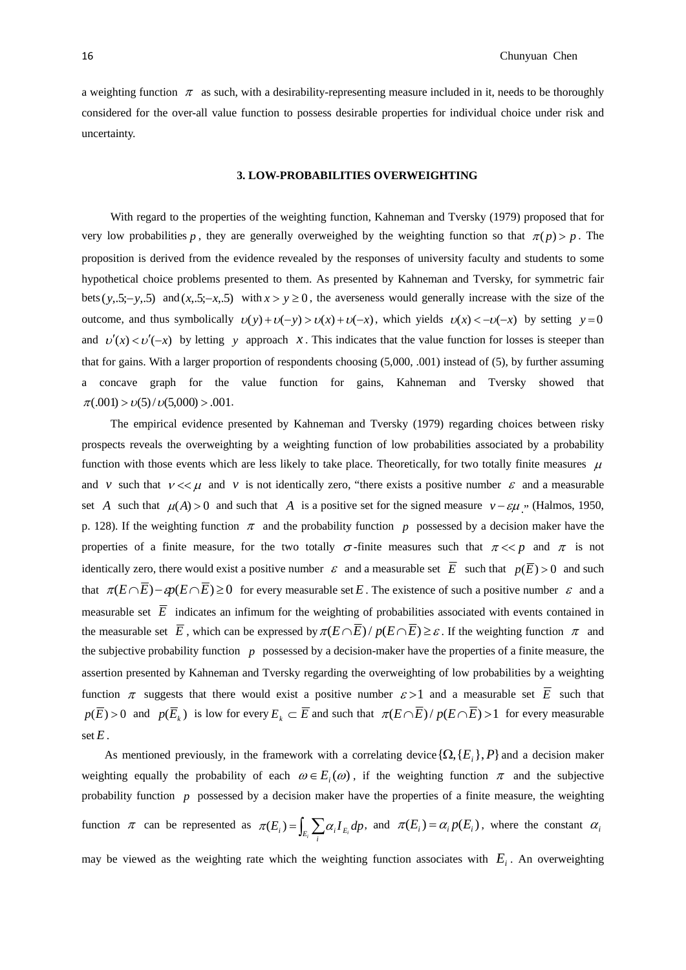a weighting function  $\pi$  as such, with a desirability-representing measure included in it, needs to be thoroughly considered for the over-all value function to possess desirable properties for individual choice under risk and uncertainty.

#### **3. LOW-PROBABILITIES OVERWEIGHTING**

With regard to the properties of the weighting function, Kahneman and Tversky (1979) proposed that for very low probabilities *p*, they are generally overweighed by the weighting function so that  $\pi(p) > p$ . The proposition is derived from the evidence revealed by the responses of university faculty and students to some hypothetical choice problems presented to them. As presented by Kahneman and Tversky, for symmetric fair bets ( $y, 5; -y, 5$ ) and  $(x, 5; -x, 5)$  with  $x > y \ge 0$ , the averseness would generally increase with the size of the outcome, and thus symbolically  $v(y) + v(-y) > v(x) + v(-x)$ , which yields  $v(x) < -v(-x)$  by setting  $y = 0$ and  $v'(x) < v'(-x)$  by letting *y* approach *x*. This indicates that the value function for losses is steeper than that for gains. With a larger proportion of respondents choosing (5,000, .001) instead of (5), by further assuming a concave graph for the value function for gains, Kahneman and Tversky showed that  $\pi(.001) > v(5)/v(5,000) > .001$ .

The empirical evidence presented by Kahneman and Tversky (1979) regarding choices between risky prospects reveals the overweighting by a weighting function of low probabilities associated by a probability function with those events which are less likely to take place. Theoretically, for two totally finite measures  $\mu$ and *v* such that  $v \ll \mu$  and *v* is not identically zero, "there exists a positive number  $\varepsilon$  and a measurable set *A* such that  $\mu(A) > 0$  and such that *A* is a positive set for the signed measure  $v - \varepsilon \mu$  . (Halmos, 1950, p. 128). If the weighting function  $\pi$  and the probability function p possessed by a decision maker have the properties of a finite measure, for the two totally  $\sigma$ -finite measures such that  $\pi \ll p$  and  $\pi$  is not identically zero, there would exist a positive number  $\varepsilon$  and a measurable set  $\overline{E}$  such that  $p(\overline{E}) > 0$  and such that  $\pi(E \cap \overline{E}) - \varepsilon p(E \cap \overline{E}) \ge 0$  for every measurable set *E*. The existence of such a positive number  $\varepsilon$  and a measurable set  $\overline{E}$  indicates an infimum for the weighting of probabilities associated with events contained in the measurable set  $\overline{E}$ , which can be expressed by  $\pi(E \cap \overline{E})/p(E \cap \overline{E}) \geq \varepsilon$ . If the weighting function  $\pi$  and the subjective probability function *p* possessed by a decision-maker have the properties of a finite measure, the assertion presented by Kahneman and Tversky regarding the overweighting of low probabilities by a weighting function  $\pi$  suggests that there would exist a positive number  $\varepsilon > 1$  and a measurable set  $\overline{E}$  such that  $p(\overline{E}) > 0$  and  $p(\overline{E}_k)$  is low for every  $E_k \subset \overline{E}$  and such that  $\pi(E \cap \overline{E})/p(E \cap \overline{E}) > 1$  for every measurable set  $E$ .

As mentioned previously, in the framework with a correlating device  $\{\Omega, \{E_i\}, P\}$  and a decision maker weighting equally the probability of each  $\omega \in E_i(\omega)$ , if the weighting function  $\pi$  and the subjective probability function *p* possessed by a decision maker have the properties of a finite measure, the weighting function  $\pi$  can be represented as  $\pi(E_i) = \int_{E_i} \sum_i \alpha_i I_{E_i} dp$ , and  $\pi(E_i) = \alpha_i p(E_i)$ , where the constant  $\alpha_i$ may be viewed as the weighting rate which the weighting function associates with  $E_i$ . An overweighting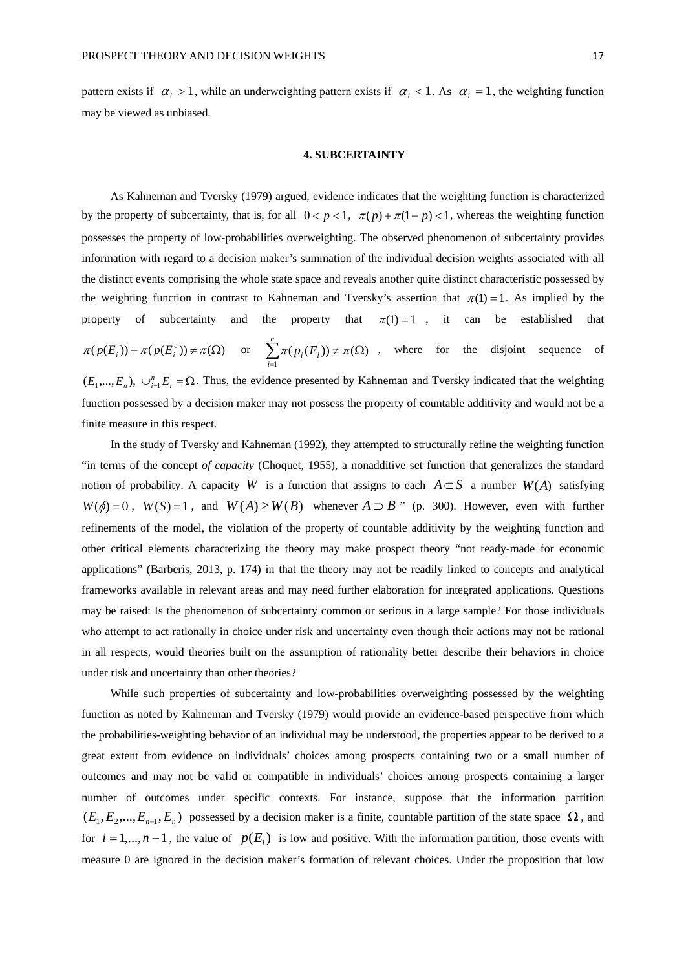pattern exists if  $\alpha_i > 1$ , while an underweighting pattern exists if  $\alpha_i < 1$ . As  $\alpha_i = 1$ , the weighting function may be viewed as unbiased.

#### **4. SUBCERTAINTY**

As Kahneman and Tversky (1979) argued, evidence indicates that the weighting function is characterized by the property of subcertainty, that is, for all  $0 < p < 1$ ,  $\pi(p) + \pi(1-p) < 1$ , whereas the weighting function possesses the property of low-probabilities overweighting. The observed phenomenon of subcertainty provides information with regard to a decision maker's summation of the individual decision weights associated with all the distinct events comprising the whole state space and reveals another quite distinct characteristic possessed by the weighting function in contrast to Kahneman and Tversky's assertion that  $\pi(1) = 1$ . As implied by the property of subcertainty and the property that  $\pi(1)=1$ , it can be established that  $\pi(p(E_i)) + \pi(p(E_i^c)) \neq \pi(\Omega)$  or  $\sum \pi(p_i(E_i)) \neq \pi(\Omega)$  $\sum_{i=1} \pi(p_i(E_i)) \neq \pi(\Omega)$ *n*  $\sum_{i=1}^n \pi(p_i(E_i)) \neq \pi(\Omega)$ , where for the disjoint sequence of  $(E_1,...,E_n)$ ,  $\bigcup_{i=1}^n E_i = \Omega$ . Thus, the evidence presented by Kahneman and Tversky indicated that the weighting function possessed by a decision maker may not possess the property of countable additivity and would not be a finite measure in this respect.

In the study of Tversky and Kahneman (1992), they attempted to structurally refine the weighting function "in terms of the concept *of capacity* (Choquet, 1955), a nonadditive set function that generalizes the standard notion of probability. A capacity *W* is a function that assigns to each  $A \subset S$  a number *W*(*A*) satisfying  $W(\phi) = 0$ ,  $W(S) = 1$ , and  $W(A) \ge W(B)$  whenever  $A \supset B$  " (p. 300). However, even with further refinements of the model, the violation of the property of countable additivity by the weighting function and other critical elements characterizing the theory may make prospect theory "not ready-made for economic applications" (Barberis, 2013, p. 174) in that the theory may not be readily linked to concepts and analytical frameworks available in relevant areas and may need further elaboration for integrated applications. Questions may be raised: Is the phenomenon of subcertainty common or serious in a large sample? For those individuals who attempt to act rationally in choice under risk and uncertainty even though their actions may not be rational in all respects, would theories built on the assumption of rationality better describe their behaviors in choice under risk and uncertainty than other theories?

While such properties of subcertainty and low-probabilities overweighting possessed by the weighting function as noted by Kahneman and Tversky (1979) would provide an evidence-based perspective from which the probabilities-weighting behavior of an individual may be understood, the properties appear to be derived to a great extent from evidence on individuals' choices among prospects containing two or a small number of outcomes and may not be valid or compatible in individuals' choices among prospects containing a larger number of outcomes under specific contexts. For instance, suppose that the information partition  $(E_1, E_2, ..., E_{n-1}, E_n)$  possessed by a decision maker is a finite, countable partition of the state space  $\Omega$ , and for  $i = 1,...,n-1$ , the value of  $p(E_i)$  is low and positive. With the information partition, those events with measure 0 are ignored in the decision maker's formation of relevant choices. Under the proposition that low